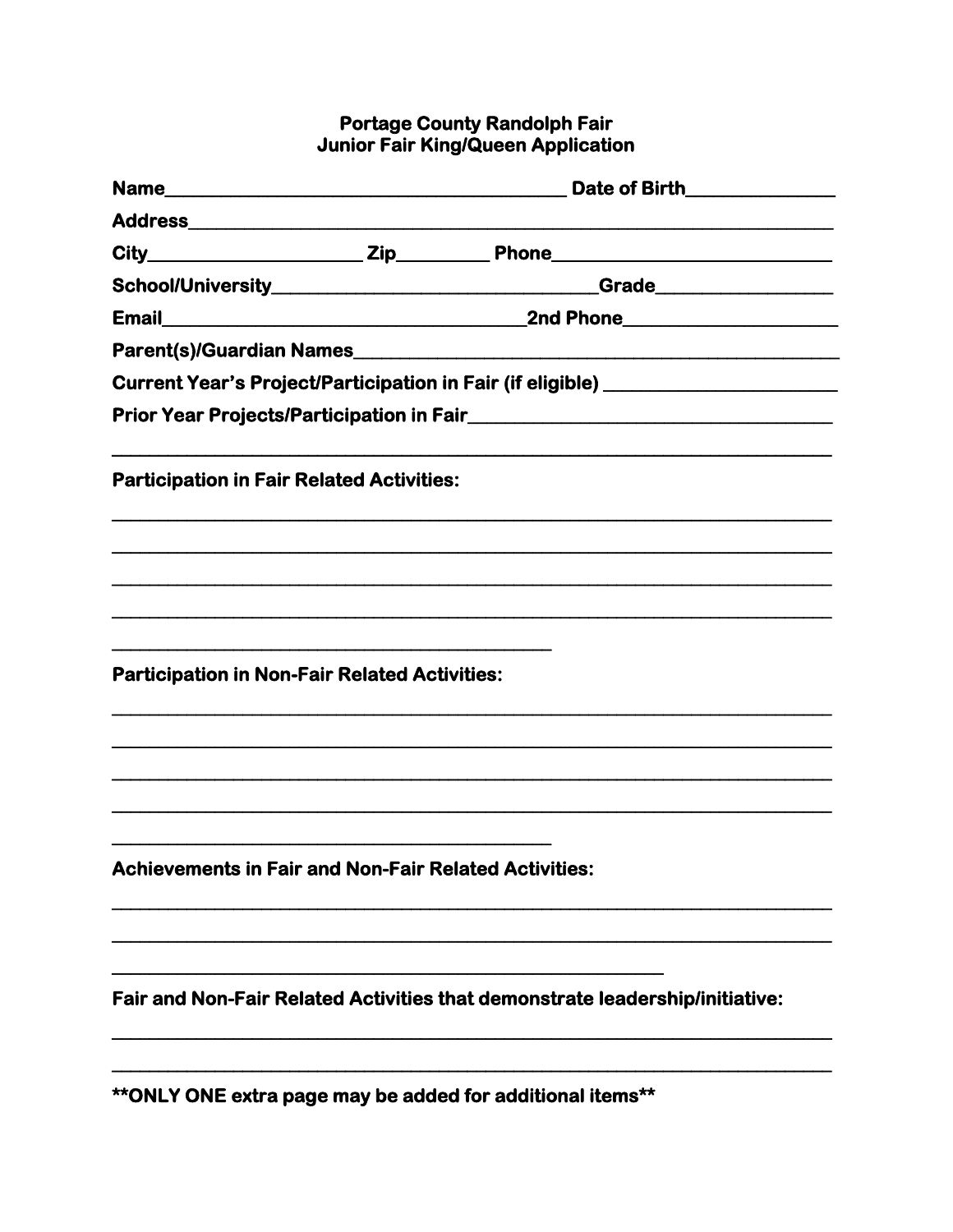## **Portage County Randolph Fair<br>Junior Fair King/Queen Application**

|                                                              | Date of Birth_______________                                                     |
|--------------------------------------------------------------|----------------------------------------------------------------------------------|
|                                                              |                                                                                  |
|                                                              |                                                                                  |
|                                                              | <b>Crade___________________</b>                                                  |
|                                                              |                                                                                  |
|                                                              |                                                                                  |
|                                                              | Current Year's Project/Participation in Fair (if eligible) _____________________ |
|                                                              |                                                                                  |
| <b>Participation in Fair Related Activities:</b>             |                                                                                  |
|                                                              |                                                                                  |
|                                                              |                                                                                  |
|                                                              |                                                                                  |
| <b>Participation in Non-Fair Related Activities:</b>         |                                                                                  |
|                                                              |                                                                                  |
|                                                              |                                                                                  |
| <b>Achievements in Fair and Non-Fair Related Activities:</b> |                                                                                  |
|                                                              |                                                                                  |
|                                                              | Fair and Non-Fair Related Activities that demonstrate leadership/initiative:     |
|                                                              |                                                                                  |

\*\* ONLY ONE extra page may be added for additional items\*\*